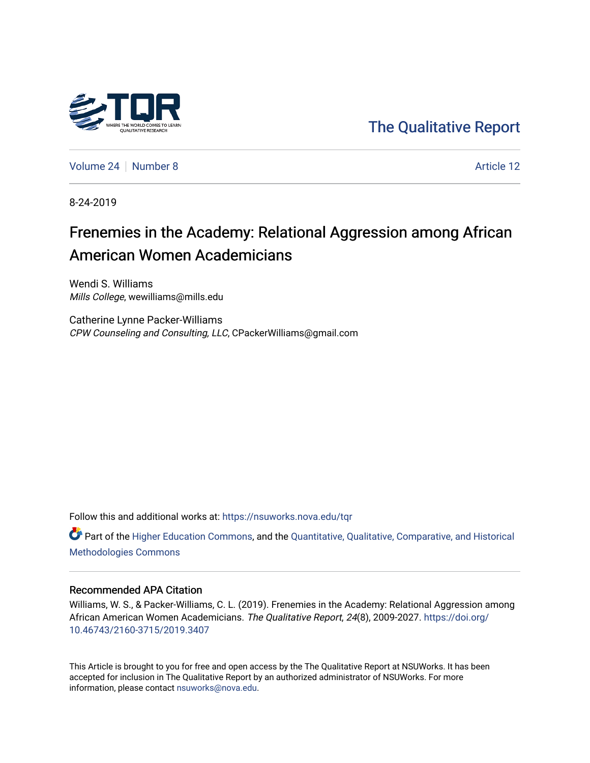

[The Qualitative Report](https://nsuworks.nova.edu/tqr) 

[Volume 24](https://nsuworks.nova.edu/tqr/vol24) | [Number 8](https://nsuworks.nova.edu/tqr/vol24/iss8) Article 12

8-24-2019

# Frenemies in the Academy: Relational Aggression among African American Women Academicians

Wendi S. Williams Mills College, wewilliams@mills.edu

Catherine Lynne Packer-Williams CPW Counseling and Consulting, LLC, CPackerWilliams@gmail.com

Follow this and additional works at: [https://nsuworks.nova.edu/tqr](https://nsuworks.nova.edu/tqr?utm_source=nsuworks.nova.edu%2Ftqr%2Fvol24%2Fiss8%2F12&utm_medium=PDF&utm_campaign=PDFCoverPages) 

Part of the [Higher Education Commons,](http://network.bepress.com/hgg/discipline/1245?utm_source=nsuworks.nova.edu%2Ftqr%2Fvol24%2Fiss8%2F12&utm_medium=PDF&utm_campaign=PDFCoverPages) and the [Quantitative, Qualitative, Comparative, and Historical](http://network.bepress.com/hgg/discipline/423?utm_source=nsuworks.nova.edu%2Ftqr%2Fvol24%2Fiss8%2F12&utm_medium=PDF&utm_campaign=PDFCoverPages) [Methodologies Commons](http://network.bepress.com/hgg/discipline/423?utm_source=nsuworks.nova.edu%2Ftqr%2Fvol24%2Fiss8%2F12&utm_medium=PDF&utm_campaign=PDFCoverPages) 

### Recommended APA Citation

Williams, W. S., & Packer-Williams, C. L. (2019). Frenemies in the Academy: Relational Aggression among African American Women Academicians. The Qualitative Report, 24(8), 2009-2027. [https://doi.org/](https://doi.org/10.46743/2160-3715/2019.3407) [10.46743/2160-3715/2019.3407](https://doi.org/10.46743/2160-3715/2019.3407)

This Article is brought to you for free and open access by the The Qualitative Report at NSUWorks. It has been accepted for inclusion in The Qualitative Report by an authorized administrator of NSUWorks. For more information, please contact [nsuworks@nova.edu.](mailto:nsuworks@nova.edu)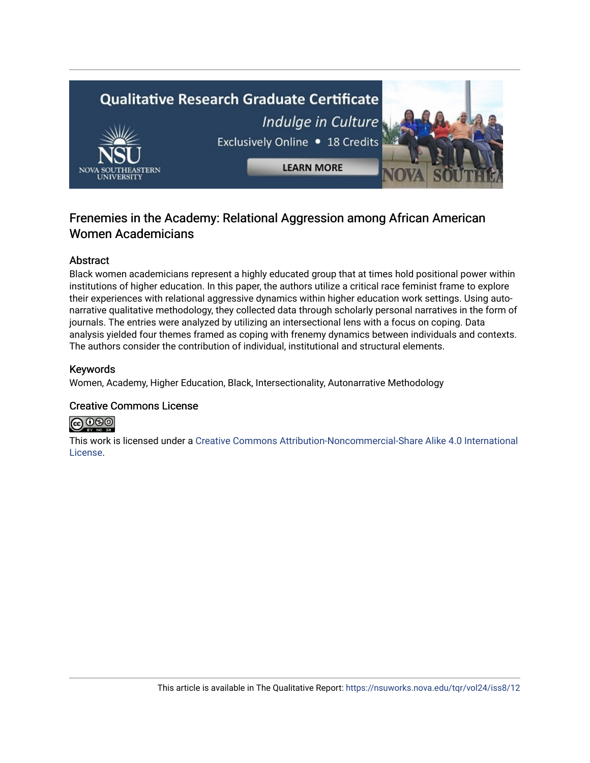

# Frenemies in the Academy: Relational Aggression among African American Women Academicians

# Abstract

Black women academicians represent a highly educated group that at times hold positional power within institutions of higher education. In this paper, the authors utilize a critical race feminist frame to explore their experiences with relational aggressive dynamics within higher education work settings. Using autonarrative qualitative methodology, they collected data through scholarly personal narratives in the form of journals. The entries were analyzed by utilizing an intersectional lens with a focus on coping. Data analysis yielded four themes framed as coping with frenemy dynamics between individuals and contexts. The authors consider the contribution of individual, institutional and structural elements.

# Keywords

Women, Academy, Higher Education, Black, Intersectionality, Autonarrative Methodology

# Creative Commons License



This work is licensed under a [Creative Commons Attribution-Noncommercial-Share Alike 4.0 International](https://creativecommons.org/licenses/by-nc-sa/4.0/)  [License](https://creativecommons.org/licenses/by-nc-sa/4.0/).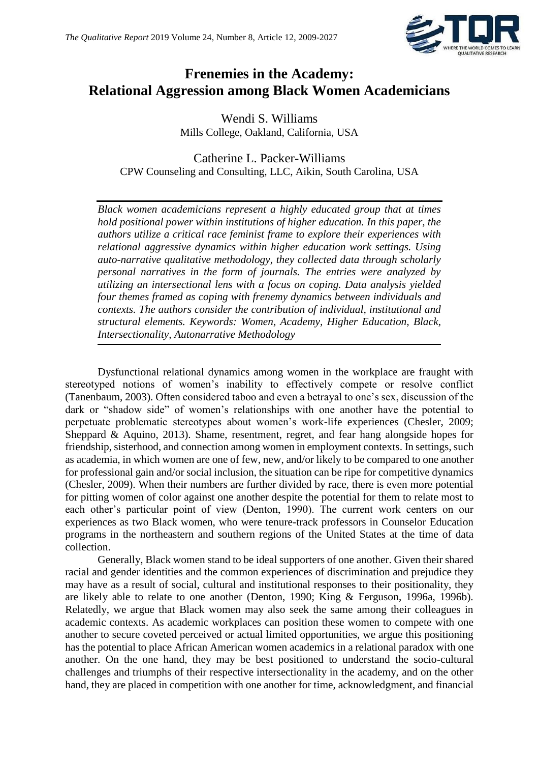

# **Frenemies in the Academy: Relational Aggression among Black Women Academicians**

Wendi S. Williams Mills College, Oakland, California, USA

Catherine L. Packer-Williams CPW Counseling and Consulting, LLC, Aikin, South Carolina, USA

*Black women academicians represent a highly educated group that at times hold positional power within institutions of higher education. In this paper, the authors utilize a critical race feminist frame to explore their experiences with relational aggressive dynamics within higher education work settings. Using auto-narrative qualitative methodology, they collected data through scholarly personal narratives in the form of journals. The entries were analyzed by utilizing an intersectional lens with a focus on coping. Data analysis yielded four themes framed as coping with frenemy dynamics between individuals and contexts. The authors consider the contribution of individual, institutional and structural elements. Keywords: Women, Academy, Higher Education, Black, Intersectionality, Autonarrative Methodology*

Dysfunctional relational dynamics among women in the workplace are fraught with stereotyped notions of women's inability to effectively compete or resolve conflict (Tanenbaum, 2003). Often considered taboo and even a betrayal to one's sex, discussion of the dark or "shadow side" of women's relationships with one another have the potential to perpetuate problematic stereotypes about women's work-life experiences (Chesler, 2009; Sheppard & Aquino, 2013). Shame, resentment, regret, and fear hang alongside hopes for friendship, sisterhood, and connection among women in employment contexts. In settings, such as academia, in which women are one of few, new, and/or likely to be compared to one another for professional gain and/or social inclusion, the situation can be ripe for competitive dynamics (Chesler, 2009). When their numbers are further divided by race, there is even more potential for pitting women of color against one another despite the potential for them to relate most to each other's particular point of view (Denton, 1990). The current work centers on our experiences as two Black women, who were tenure-track professors in Counselor Education programs in the northeastern and southern regions of the United States at the time of data collection.

Generally, Black women stand to be ideal supporters of one another. Given their shared racial and gender identities and the common experiences of discrimination and prejudice they may have as a result of social, cultural and institutional responses to their positionality, they are likely able to relate to one another (Denton, 1990; King & Ferguson, 1996a, 1996b). Relatedly, we argue that Black women may also seek the same among their colleagues in academic contexts. As academic workplaces can position these women to compete with one another to secure coveted perceived or actual limited opportunities, we argue this positioning has the potential to place African American women academics in a relational paradox with one another. On the one hand, they may be best positioned to understand the socio-cultural challenges and triumphs of their respective intersectionality in the academy, and on the other hand, they are placed in competition with one another for time, acknowledgment, and financial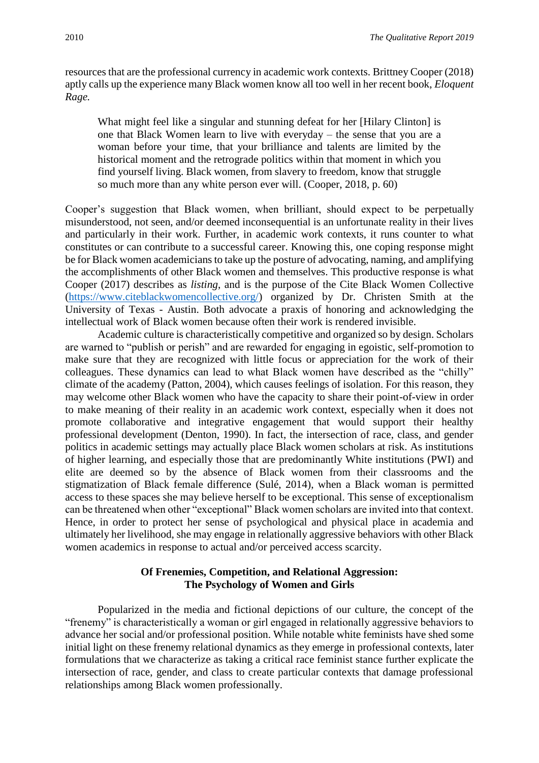What might feel like a singular and stunning defeat for her [Hilary Clinton] is one that Black Women learn to live with everyday – the sense that you are a woman before your time, that your brilliance and talents are limited by the historical moment and the retrograde politics within that moment in which you find yourself living. Black women, from slavery to freedom, know that struggle so much more than any white person ever will. (Cooper, 2018, p. 60)

Cooper's suggestion that Black women, when brilliant, should expect to be perpetually misunderstood, not seen, and/or deemed inconsequential is an unfortunate reality in their lives and particularly in their work. Further, in academic work contexts, it runs counter to what constitutes or can contribute to a successful career. Knowing this, one coping response might be for Black women academicians to take up the posture of advocating, naming, and amplifying the accomplishments of other Black women and themselves. This productive response is what Cooper (2017) describes as *listing*, and is the purpose of the Cite Black Women Collective [\(https://www.citeblackwomencollective.org/\)](https://www.citeblackwomencollective.org/) organized by Dr. Christen Smith at the University of Texas - Austin. Both advocate a praxis of honoring and acknowledging the intellectual work of Black women because often their work is rendered invisible.

Academic culture is characteristically competitive and organized so by design. Scholars are warned to "publish or perish" and are rewarded for engaging in egoistic, self-promotion to make sure that they are recognized with little focus or appreciation for the work of their colleagues. These dynamics can lead to what Black women have described as the "chilly" climate of the academy (Patton, 2004), which causes feelings of isolation. For this reason, they may welcome other Black women who have the capacity to share their point-of-view in order to make meaning of their reality in an academic work context, especially when it does not promote collaborative and integrative engagement that would support their healthy professional development (Denton, 1990). In fact, the intersection of race, class, and gender politics in academic settings may actually place Black women scholars at risk. As institutions of higher learning, and especially those that are predominantly White institutions (PWI) and elite are deemed so by the absence of Black women from their classrooms and the stigmatization of Black female difference (Sulé, 2014), when a Black woman is permitted access to these spaces she may believe herself to be exceptional. This sense of exceptionalism can be threatened when other "exceptional" Black women scholars are invited into that context. Hence, in order to protect her sense of psychological and physical place in academia and ultimately her livelihood, she may engage in relationally aggressive behaviors with other Black women academics in response to actual and/or perceived access scarcity.

# **Of Frenemies, Competition, and Relational Aggression: The Psychology of Women and Girls**

Popularized in the media and fictional depictions of our culture, the concept of the "frenemy" is characteristically a woman or girl engaged in relationally aggressive behaviors to advance her social and/or professional position. While notable white feminists have shed some initial light on these frenemy relational dynamics as they emerge in professional contexts, later formulations that we characterize as taking a critical race feminist stance further explicate the intersection of race, gender, and class to create particular contexts that damage professional relationships among Black women professionally.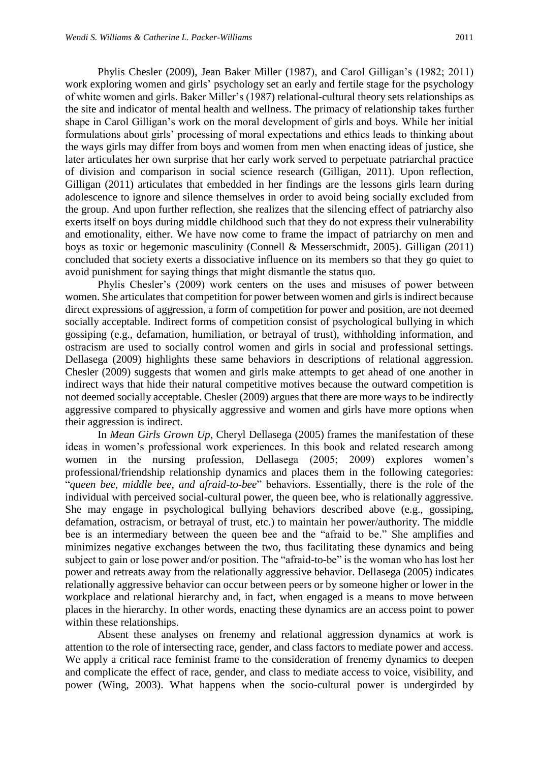Phylis Chesler (2009), Jean Baker Miller (1987), and Carol Gilligan's (1982; 2011) work exploring women and girls' psychology set an early and fertile stage for the psychology of white women and girls. Baker Miller's (1987) relational-cultural theory sets relationships as the site and indicator of mental health and wellness. The primacy of relationship takes further shape in Carol Gilligan's work on the moral development of girls and boys. While her initial formulations about girls' processing of moral expectations and ethics leads to thinking about the ways girls may differ from boys and women from men when enacting ideas of justice, she later articulates her own surprise that her early work served to perpetuate patriarchal practice of division and comparison in social science research (Gilligan, 2011). Upon reflection, Gilligan (2011) articulates that embedded in her findings are the lessons girls learn during adolescence to ignore and silence themselves in order to avoid being socially excluded from the group. And upon further reflection, she realizes that the silencing effect of patriarchy also exerts itself on boys during middle childhood such that they do not express their vulnerability and emotionality, either. We have now come to frame the impact of patriarchy on men and boys as toxic or hegemonic masculinity (Connell & Messerschmidt, 2005). Gilligan (2011) concluded that society exerts a dissociative influence on its members so that they go quiet to avoid punishment for saying things that might dismantle the status quo.

Phylis Chesler's (2009) work centers on the uses and misuses of power between women. She articulates that competition for power between women and girls is indirect because direct expressions of aggression, a form of competition for power and position, are not deemed socially acceptable. Indirect forms of competition consist of psychological bullying in which gossiping (e.g., defamation, humiliation, or betrayal of trust), withholding information, and ostracism are used to socially control women and girls in social and professional settings. Dellasega (2009) highlights these same behaviors in descriptions of relational aggression. Chesler (2009) suggests that women and girls make attempts to get ahead of one another in indirect ways that hide their natural competitive motives because the outward competition is not deemed socially acceptable. Chesler (2009) argues that there are more ways to be indirectly aggressive compared to physically aggressive and women and girls have more options when their aggression is indirect.

In *Mean Girls Grown Up*, Cheryl Dellasega (2005) frames the manifestation of these ideas in women's professional work experiences. In this book and related research among women in the nursing profession, Dellasega (2005; 2009) explores women's professional/friendship relationship dynamics and places them in the following categories: "*queen bee, middle bee, and afraid-to-bee*" behaviors. Essentially, there is the role of the individual with perceived social-cultural power, the queen bee, who is relationally aggressive. She may engage in psychological bullying behaviors described above (e.g., gossiping, defamation, ostracism, or betrayal of trust, etc.) to maintain her power/authority. The middle bee is an intermediary between the queen bee and the "afraid to be." She amplifies and minimizes negative exchanges between the two, thus facilitating these dynamics and being subject to gain or lose power and/or position. The "afraid-to-be" is the woman who has lost her power and retreats away from the relationally aggressive behavior. Dellasega (2005) indicates relationally aggressive behavior can occur between peers or by someone higher or lower in the workplace and relational hierarchy and, in fact, when engaged is a means to move between places in the hierarchy. In other words, enacting these dynamics are an access point to power within these relationships.

Absent these analyses on frenemy and relational aggression dynamics at work is attention to the role of intersecting race, gender, and class factors to mediate power and access. We apply a critical race feminist frame to the consideration of frenemy dynamics to deepen and complicate the effect of race, gender, and class to mediate access to voice, visibility, and power (Wing, 2003). What happens when the socio-cultural power is undergirded by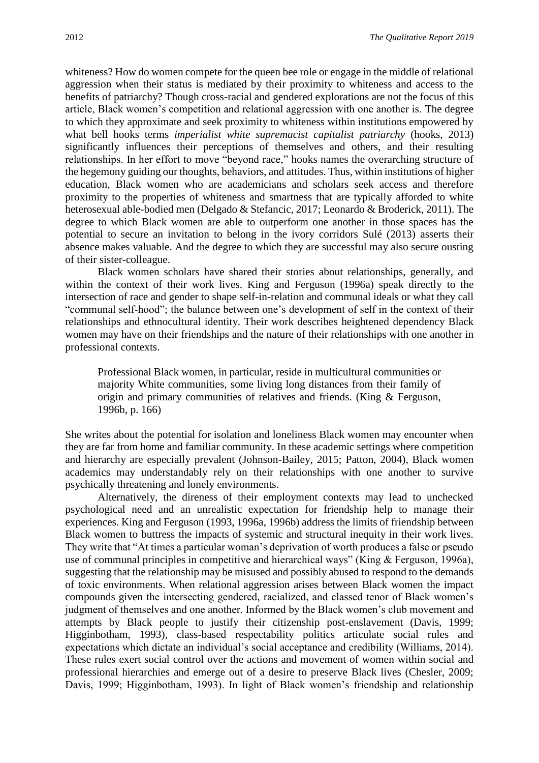whiteness? How do women compete for the queen bee role or engage in the middle of relational aggression when their status is mediated by their proximity to whiteness and access to the benefits of patriarchy? Though cross-racial and gendered explorations are not the focus of this article, Black women's competition and relational aggression with one another is. The degree to which they approximate and seek proximity to whiteness within institutions empowered by what bell hooks terms *imperialist white supremacist capitalist patriarchy* (hooks, 2013) significantly influences their perceptions of themselves and others, and their resulting relationships. In her effort to move "beyond race," hooks names the overarching structure of the hegemony guiding our thoughts, behaviors, and attitudes. Thus, within institutions of higher education, Black women who are academicians and scholars seek access and therefore proximity to the properties of whiteness and smartness that are typically afforded to white heterosexual able-bodied men (Delgado & Stefancic, 2017; Leonardo & Broderick, 2011). The degree to which Black women are able to outperform one another in those spaces has the potential to secure an invitation to belong in the ivory corridors Sulé (2013) asserts their absence makes valuable. And the degree to which they are successful may also secure ousting of their sister-colleague.

Black women scholars have shared their stories about relationships, generally, and within the context of their work lives. King and Ferguson (1996a) speak directly to the intersection of race and gender to shape self-in-relation and communal ideals or what they call "communal self-hood"; the balance between one's development of self in the context of their relationships and ethnocultural identity. Their work describes heightened dependency Black women may have on their friendships and the nature of their relationships with one another in professional contexts.

Professional Black women, in particular, reside in multicultural communities or majority White communities, some living long distances from their family of origin and primary communities of relatives and friends. (King & Ferguson, 1996b, p. 166)

She writes about the potential for isolation and loneliness Black women may encounter when they are far from home and familiar community. In these academic settings where competition and hierarchy are especially prevalent (Johnson-Bailey, 2015; Patton, 2004), Black women academics may understandably rely on their relationships with one another to survive psychically threatening and lonely environments.

Alternatively, the direness of their employment contexts may lead to unchecked psychological need and an unrealistic expectation for friendship help to manage their experiences. King and Ferguson (1993, 1996a, 1996b) address the limits of friendship between Black women to buttress the impacts of systemic and structural inequity in their work lives. They write that "At times a particular woman's deprivation of worth produces a false or pseudo use of communal principles in competitive and hierarchical ways" (King & Ferguson, 1996a), suggesting that the relationship may be misused and possibly abused to respond to the demands of toxic environments. When relational aggression arises between Black women the impact compounds given the intersecting gendered, racialized, and classed tenor of Black women's judgment of themselves and one another. Informed by the Black women's club movement and attempts by Black people to justify their citizenship post-enslavement (Davis, 1999; Higginbotham, 1993), class-based respectability politics articulate social rules and expectations which dictate an individual's social acceptance and credibility (Williams, 2014). These rules exert social control over the actions and movement of women within social and professional hierarchies and emerge out of a desire to preserve Black lives (Chesler, 2009; Davis, 1999; Higginbotham, 1993). In light of Black women's friendship and relationship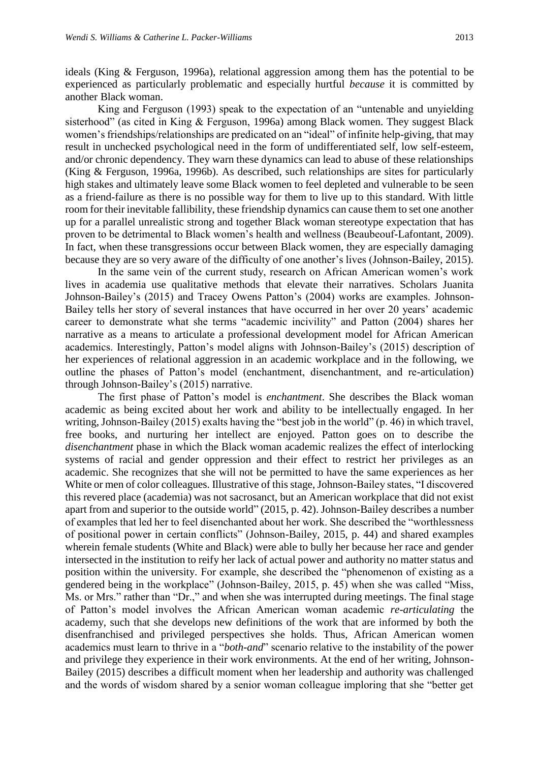ideals (King & Ferguson, 1996a), relational aggression among them has the potential to be experienced as particularly problematic and especially hurtful *because* it is committed by another Black woman.

King and Ferguson (1993) speak to the expectation of an "untenable and unyielding sisterhood" (as cited in King & Ferguson, 1996a) among Black women. They suggest Black women's friendships/relationships are predicated on an "ideal" of infinite help-giving, that may result in unchecked psychological need in the form of undifferentiated self, low self-esteem, and/or chronic dependency. They warn these dynamics can lead to abuse of these relationships (King & Ferguson, 1996a, 1996b). As described, such relationships are sites for particularly high stakes and ultimately leave some Black women to feel depleted and vulnerable to be seen as a friend-failure as there is no possible way for them to live up to this standard. With little room for their inevitable fallibility, these friendship dynamics can cause them to set one another up for a parallel unrealistic strong and together Black woman stereotype expectation that has proven to be detrimental to Black women's health and wellness (Beaubeouf-Lafontant, 2009). In fact, when these transgressions occur between Black women, they are especially damaging because they are so very aware of the difficulty of one another's lives (Johnson-Bailey, 2015).

In the same vein of the current study, research on African American women's work lives in academia use qualitative methods that elevate their narratives. Scholars Juanita Johnson-Bailey's (2015) and Tracey Owens Patton's (2004) works are examples. Johnson-Bailey tells her story of several instances that have occurred in her over 20 years' academic career to demonstrate what she terms "academic incivility" and Patton (2004) shares her narrative as a means to articulate a professional development model for African American academics. Interestingly, Patton's model aligns with Johnson-Bailey's (2015) description of her experiences of relational aggression in an academic workplace and in the following, we outline the phases of Patton's model (enchantment, disenchantment, and re-articulation) through Johnson-Bailey's (2015) narrative.

The first phase of Patton's model is *enchantment*. She describes the Black woman academic as being excited about her work and ability to be intellectually engaged. In her writing, Johnson-Bailey (2015) exalts having the "best job in the world" (p. 46) in which travel, free books, and nurturing her intellect are enjoyed. Patton goes on to describe the *disenchantment* phase in which the Black woman academic realizes the effect of interlocking systems of racial and gender oppression and their effect to restrict her privileges as an academic. She recognizes that she will not be permitted to have the same experiences as her White or men of color colleagues. Illustrative of this stage, Johnson-Bailey states, "I discovered this revered place (academia) was not sacrosanct, but an American workplace that did not exist apart from and superior to the outside world" (2015, p. 42). Johnson-Bailey describes a number of examples that led her to feel disenchanted about her work. She described the "worthlessness of positional power in certain conflicts" (Johnson-Bailey, 2015, p. 44) and shared examples wherein female students (White and Black) were able to bully her because her race and gender intersected in the institution to reify her lack of actual power and authority no matter status and position within the university. For example, she described the "phenomenon of existing as a gendered being in the workplace" (Johnson-Bailey, 2015, p. 45) when she was called "Miss, Ms. or Mrs." rather than "Dr.," and when she was interrupted during meetings. The final stage of Patton's model involves the African American woman academic *re-articulating* the academy, such that she develops new definitions of the work that are informed by both the disenfranchised and privileged perspectives she holds. Thus, African American women academics must learn to thrive in a "*both-and*" scenario relative to the instability of the power and privilege they experience in their work environments. At the end of her writing, Johnson-Bailey (2015) describes a difficult moment when her leadership and authority was challenged and the words of wisdom shared by a senior woman colleague imploring that she "better get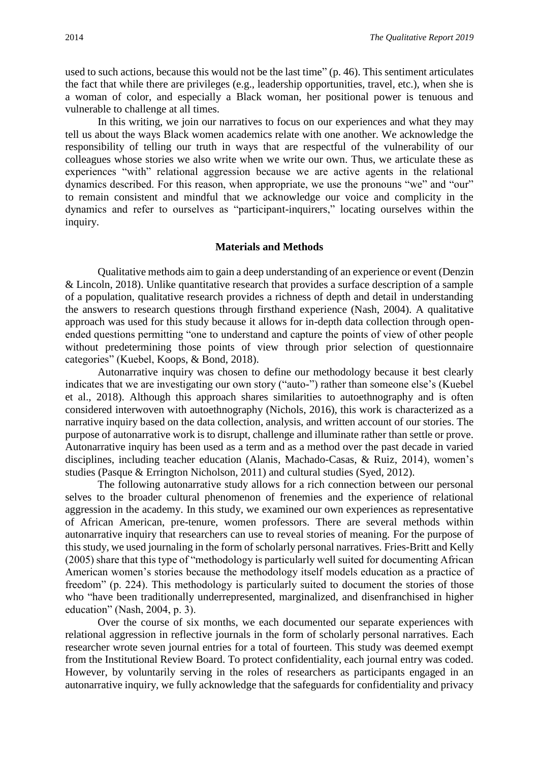used to such actions, because this would not be the last time" (p. 46). This sentiment articulates the fact that while there are privileges (e.g., leadership opportunities, travel, etc.), when she is a woman of color, and especially a Black woman, her positional power is tenuous and vulnerable to challenge at all times.

In this writing, we join our narratives to focus on our experiences and what they may tell us about the ways Black women academics relate with one another. We acknowledge the responsibility of telling our truth in ways that are respectful of the vulnerability of our colleagues whose stories we also write when we write our own. Thus, we articulate these as experiences "with" relational aggression because we are active agents in the relational dynamics described. For this reason, when appropriate, we use the pronouns "we" and "our" to remain consistent and mindful that we acknowledge our voice and complicity in the dynamics and refer to ourselves as "participant-inquirers," locating ourselves within the inquiry.

#### **Materials and Methods**

Qualitative methods aim to gain a deep understanding of an experience or event (Denzin & Lincoln, 2018). Unlike quantitative research that provides a surface description of a sample of a population, qualitative research provides a richness of depth and detail in understanding the answers to research questions through firsthand experience (Nash, 2004). A qualitative approach was used for this study because it allows for in-depth data collection through openended questions permitting "one to understand and capture the points of view of other people without predetermining those points of view through prior selection of questionnaire categories" (Kuebel, Koops, & Bond, 2018).

Autonarrative inquiry was chosen to define our methodology because it best clearly indicates that we are investigating our own story ("auto-") rather than someone else's (Kuebel et al., 2018). Although this approach shares similarities to autoethnography and is often considered interwoven with autoethnography (Nichols, 2016), this work is characterized as a narrative inquiry based on the data collection, analysis, and written account of our stories. The purpose of autonarrative work is to disrupt, challenge and illuminate rather than settle or prove. Autonarrative inquiry has been used as a term and as a method over the past decade in varied disciplines, including teacher education (Alanis, Machado-Casas, & Ruiz, 2014), women's studies (Pasque & Errington Nicholson, 2011) and cultural studies (Syed, 2012).

The following autonarrative study allows for a rich connection between our personal selves to the broader cultural phenomenon of frenemies and the experience of relational aggression in the academy. In this study, we examined our own experiences as representative of African American, pre-tenure, women professors. There are several methods within autonarrative inquiry that researchers can use to reveal stories of meaning. For the purpose of this study, we used journaling in the form of scholarly personal narratives. Fries-Britt and Kelly (2005) share that this type of "methodology is particularly well suited for documenting African American women's stories because the methodology itself models education as a practice of freedom" (p. 224). This methodology is particularly suited to document the stories of those who "have been traditionally underrepresented, marginalized, and disenfranchised in higher education" (Nash, 2004, p. 3).

Over the course of six months, we each documented our separate experiences with relational aggression in reflective journals in the form of scholarly personal narratives. Each researcher wrote seven journal entries for a total of fourteen. This study was deemed exempt from the Institutional Review Board. To protect confidentiality, each journal entry was coded. However, by voluntarily serving in the roles of researchers as participants engaged in an autonarrative inquiry, we fully acknowledge that the safeguards for confidentiality and privacy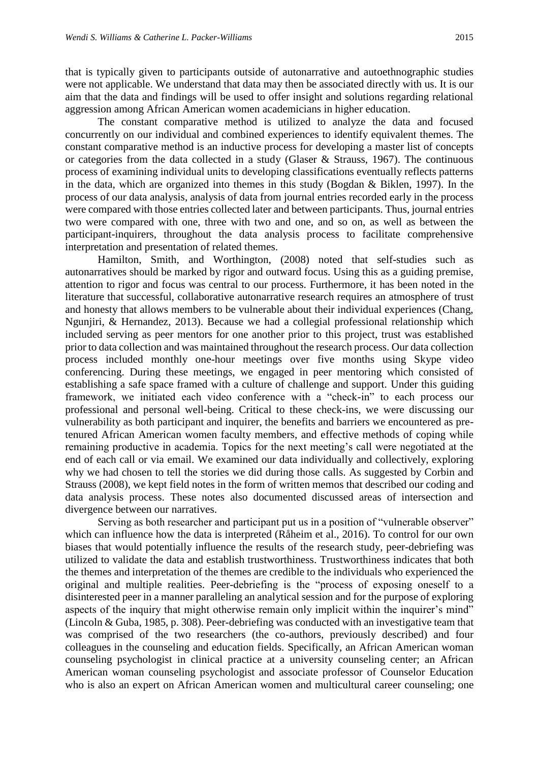that is typically given to participants outside of autonarrative and autoethnographic studies were not applicable. We understand that data may then be associated directly with us. It is our aim that the data and findings will be used to offer insight and solutions regarding relational aggression among African American women academicians in higher education.

The constant comparative method is utilized to analyze the data and focused concurrently on our individual and combined experiences to identify equivalent themes. The constant comparative method is an inductive process for developing a master list of concepts or categories from the data collected in a study (Glaser & Strauss, 1967). The continuous process of examining individual units to developing classifications eventually reflects patterns in the data, which are organized into themes in this study (Bogdan & Biklen, 1997). In the process of our data analysis, analysis of data from journal entries recorded early in the process were compared with those entries collected later and between participants. Thus, journal entries two were compared with one, three with two and one, and so on, as well as between the participant-inquirers, throughout the data analysis process to facilitate comprehensive interpretation and presentation of related themes.

Hamilton, Smith, and Worthington, (2008) noted that self-studies such as autonarratives should be marked by rigor and outward focus. Using this as a guiding premise, attention to rigor and focus was central to our process. Furthermore, it has been noted in the literature that successful, collaborative autonarrative research requires an atmosphere of trust and honesty that allows members to be vulnerable about their individual experiences (Chang, Ngunjiri, & Hernandez, 2013). Because we had a collegial professional relationship which included serving as peer mentors for one another prior to this project, trust was established prior to data collection and was maintained throughout the research process. Our data collection process included monthly one-hour meetings over five months using Skype video conferencing. During these meetings, we engaged in peer mentoring which consisted of establishing a safe space framed with a culture of challenge and support. Under this guiding framework, we initiated each video conference with a "check-in" to each process our professional and personal well-being. Critical to these check-ins, we were discussing our vulnerability as both participant and inquirer, the benefits and barriers we encountered as pretenured African American women faculty members, and effective methods of coping while remaining productive in academia. Topics for the next meeting's call were negotiated at the end of each call or via email. We examined our data individually and collectively, exploring why we had chosen to tell the stories we did during those calls. As suggested by Corbin and Strauss (2008), we kept field notes in the form of written memos that described our coding and data analysis process. These notes also documented discussed areas of intersection and divergence between our narratives.

Serving as both researcher and participant put us in a position of "vulnerable observer" which can influence how the data is interpreted (Råheim et al., 2016). To control for our own biases that would potentially influence the results of the research study, peer-debriefing was utilized to validate the data and establish trustworthiness. Trustworthiness indicates that both the themes and interpretation of the themes are credible to the individuals who experienced the original and multiple realities. Peer-debriefing is the "process of exposing oneself to a disinterested peer in a manner paralleling an analytical session and for the purpose of exploring aspects of the inquiry that might otherwise remain only implicit within the inquirer's mind" (Lincoln & Guba, 1985, p. 308). Peer-debriefing was conducted with an investigative team that was comprised of the two researchers (the co-authors, previously described) and four colleagues in the counseling and education fields. Specifically, an African American woman counseling psychologist in clinical practice at a university counseling center; an African American woman counseling psychologist and associate professor of Counselor Education who is also an expert on African American women and multicultural career counseling; one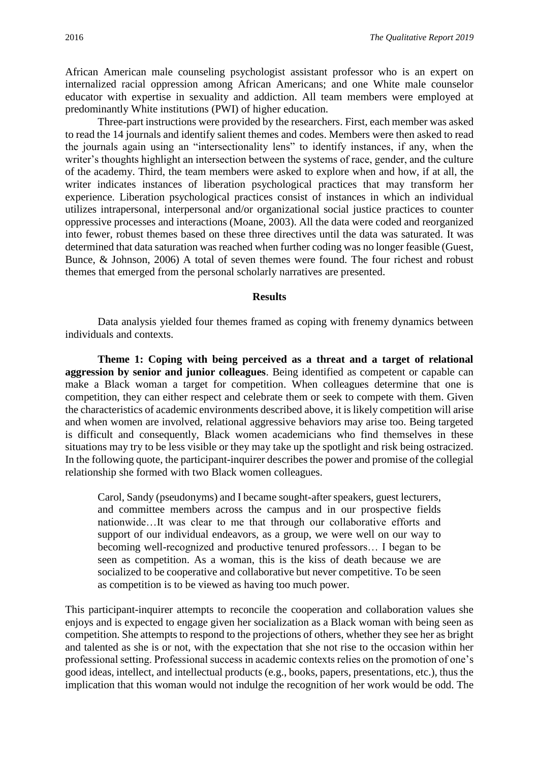African American male counseling psychologist assistant professor who is an expert on internalized racial oppression among African Americans; and one White male counselor educator with expertise in sexuality and addiction. All team members were employed at predominantly White institutions (PWI) of higher education.

Three-part instructions were provided by the researchers. First, each member was asked to read the 14 journals and identify salient themes and codes. Members were then asked to read the journals again using an "intersectionality lens" to identify instances, if any, when the writer's thoughts highlight an intersection between the systems of race, gender, and the culture of the academy. Third, the team members were asked to explore when and how, if at all, the writer indicates instances of liberation psychological practices that may transform her experience. Liberation psychological practices consist of instances in which an individual utilizes intrapersonal, interpersonal and/or organizational social justice practices to counter oppressive processes and interactions (Moane, 2003). All the data were coded and reorganized into fewer, robust themes based on these three directives until the data was saturated. It was determined that data saturation was reached when further coding was no longer feasible (Guest, Bunce, & Johnson, 2006) A total of seven themes were found. The four richest and robust themes that emerged from the personal scholarly narratives are presented.

#### **Results**

Data analysis yielded four themes framed as coping with frenemy dynamics between individuals and contexts.

**Theme 1: Coping with being perceived as a threat and a target of relational aggression by senior and junior colleagues**. Being identified as competent or capable can make a Black woman a target for competition. When colleagues determine that one is competition, they can either respect and celebrate them or seek to compete with them. Given the characteristics of academic environments described above, it is likely competition will arise and when women are involved, relational aggressive behaviors may arise too. Being targeted is difficult and consequently, Black women academicians who find themselves in these situations may try to be less visible or they may take up the spotlight and risk being ostracized. In the following quote, the participant-inquirer describes the power and promise of the collegial relationship she formed with two Black women colleagues.

Carol, Sandy (pseudonyms) and I became sought-after speakers, guest lecturers, and committee members across the campus and in our prospective fields nationwide…It was clear to me that through our collaborative efforts and support of our individual endeavors, as a group, we were well on our way to becoming well-recognized and productive tenured professors… I began to be seen as competition. As a woman, this is the kiss of death because we are socialized to be cooperative and collaborative but never competitive. To be seen as competition is to be viewed as having too much power.

This participant-inquirer attempts to reconcile the cooperation and collaboration values she enjoys and is expected to engage given her socialization as a Black woman with being seen as competition. She attempts to respond to the projections of others, whether they see her as bright and talented as she is or not, with the expectation that she not rise to the occasion within her professional setting. Professional success in academic contexts relies on the promotion of one's good ideas, intellect, and intellectual products (e.g., books, papers, presentations, etc.), thus the implication that this woman would not indulge the recognition of her work would be odd. The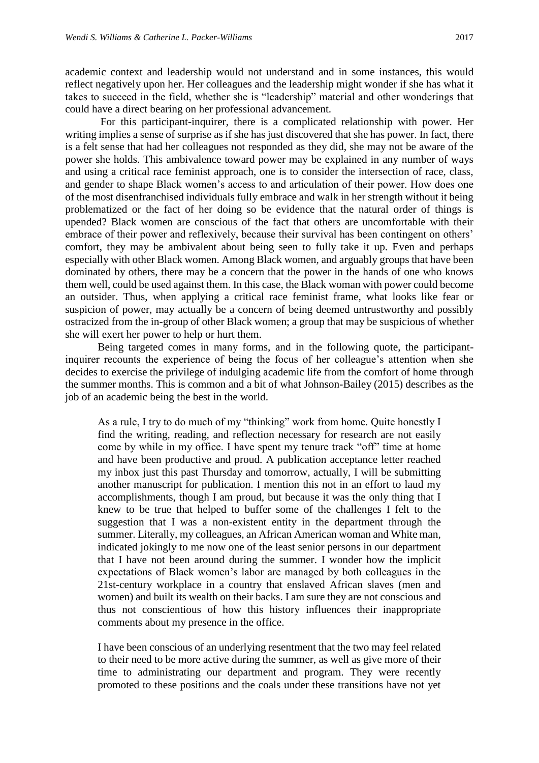academic context and leadership would not understand and in some instances, this would reflect negatively upon her. Her colleagues and the leadership might wonder if she has what it takes to succeed in the field, whether she is "leadership" material and other wonderings that could have a direct bearing on her professional advancement.

For this participant-inquirer, there is a complicated relationship with power. Her writing implies a sense of surprise as if she has just discovered that she has power. In fact, there is a felt sense that had her colleagues not responded as they did, she may not be aware of the power she holds. This ambivalence toward power may be explained in any number of ways and using a critical race feminist approach, one is to consider the intersection of race, class, and gender to shape Black women's access to and articulation of their power. How does one of the most disenfranchised individuals fully embrace and walk in her strength without it being problematized or the fact of her doing so be evidence that the natural order of things is upended? Black women are conscious of the fact that others are uncomfortable with their embrace of their power and reflexively, because their survival has been contingent on others' comfort, they may be ambivalent about being seen to fully take it up. Even and perhaps especially with other Black women. Among Black women, and arguably groups that have been dominated by others, there may be a concern that the power in the hands of one who knows them well, could be used against them. In this case, the Black woman with power could become an outsider. Thus, when applying a critical race feminist frame, what looks like fear or suspicion of power, may actually be a concern of being deemed untrustworthy and possibly ostracized from the in-group of other Black women; a group that may be suspicious of whether she will exert her power to help or hurt them.

Being targeted comes in many forms, and in the following quote, the participantinquirer recounts the experience of being the focus of her colleague's attention when she decides to exercise the privilege of indulging academic life from the comfort of home through the summer months. This is common and a bit of what Johnson-Bailey (2015) describes as the job of an academic being the best in the world.

As a rule, I try to do much of my "thinking" work from home. Quite honestly I find the writing, reading, and reflection necessary for research are not easily come by while in my office. I have spent my tenure track "off" time at home and have been productive and proud. A publication acceptance letter reached my inbox just this past Thursday and tomorrow, actually, I will be submitting another manuscript for publication. I mention this not in an effort to laud my accomplishments, though I am proud, but because it was the only thing that I knew to be true that helped to buffer some of the challenges I felt to the suggestion that I was a non-existent entity in the department through the summer. Literally, my colleagues, an African American woman and White man, indicated jokingly to me now one of the least senior persons in our department that I have not been around during the summer. I wonder how the implicit expectations of Black women's labor are managed by both colleagues in the 21st-century workplace in a country that enslaved African slaves (men and women) and built its wealth on their backs. I am sure they are not conscious and thus not conscientious of how this history influences their inappropriate comments about my presence in the office.

I have been conscious of an underlying resentment that the two may feel related to their need to be more active during the summer, as well as give more of their time to administrating our department and program. They were recently promoted to these positions and the coals under these transitions have not yet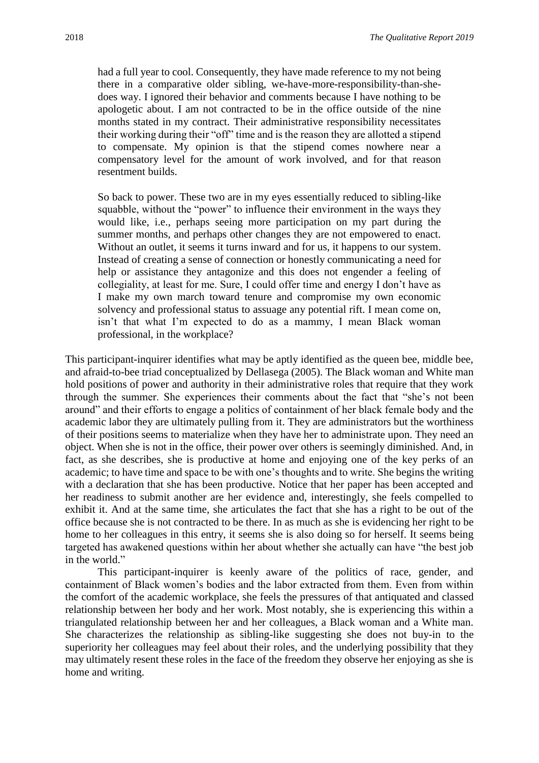had a full year to cool. Consequently, they have made reference to my not being there in a comparative older sibling, we-have-more-responsibility-than-shedoes way. I ignored their behavior and comments because I have nothing to be apologetic about. I am not contracted to be in the office outside of the nine months stated in my contract. Their administrative responsibility necessitates their working during their "off" time and is the reason they are allotted a stipend to compensate. My opinion is that the stipend comes nowhere near a compensatory level for the amount of work involved, and for that reason resentment builds.

So back to power. These two are in my eyes essentially reduced to sibling-like squabble, without the "power" to influence their environment in the ways they would like, i.e., perhaps seeing more participation on my part during the summer months, and perhaps other changes they are not empowered to enact. Without an outlet, it seems it turns inward and for us, it happens to our system. Instead of creating a sense of connection or honestly communicating a need for help or assistance they antagonize and this does not engender a feeling of collegiality, at least for me. Sure, I could offer time and energy I don't have as I make my own march toward tenure and compromise my own economic solvency and professional status to assuage any potential rift. I mean come on, isn't that what I'm expected to do as a mammy, I mean Black woman professional, in the workplace?

This participant-inquirer identifies what may be aptly identified as the queen bee, middle bee, and afraid-to-bee triad conceptualized by Dellasega (2005). The Black woman and White man hold positions of power and authority in their administrative roles that require that they work through the summer. She experiences their comments about the fact that "she's not been around" and their efforts to engage a politics of containment of her black female body and the academic labor they are ultimately pulling from it. They are administrators but the worthiness of their positions seems to materialize when they have her to administrate upon. They need an object. When she is not in the office, their power over others is seemingly diminished. And, in fact, as she describes, she is productive at home and enjoying one of the key perks of an academic; to have time and space to be with one's thoughts and to write. She begins the writing with a declaration that she has been productive. Notice that her paper has been accepted and her readiness to submit another are her evidence and, interestingly, she feels compelled to exhibit it. And at the same time, she articulates the fact that she has a right to be out of the office because she is not contracted to be there. In as much as she is evidencing her right to be home to her colleagues in this entry, it seems she is also doing so for herself. It seems being targeted has awakened questions within her about whether she actually can have "the best job in the world."

This participant-inquirer is keenly aware of the politics of race, gender, and containment of Black women's bodies and the labor extracted from them. Even from within the comfort of the academic workplace, she feels the pressures of that antiquated and classed relationship between her body and her work. Most notably, she is experiencing this within a triangulated relationship between her and her colleagues, a Black woman and a White man. She characterizes the relationship as sibling-like suggesting she does not buy-in to the superiority her colleagues may feel about their roles, and the underlying possibility that they may ultimately resent these roles in the face of the freedom they observe her enjoying as she is home and writing.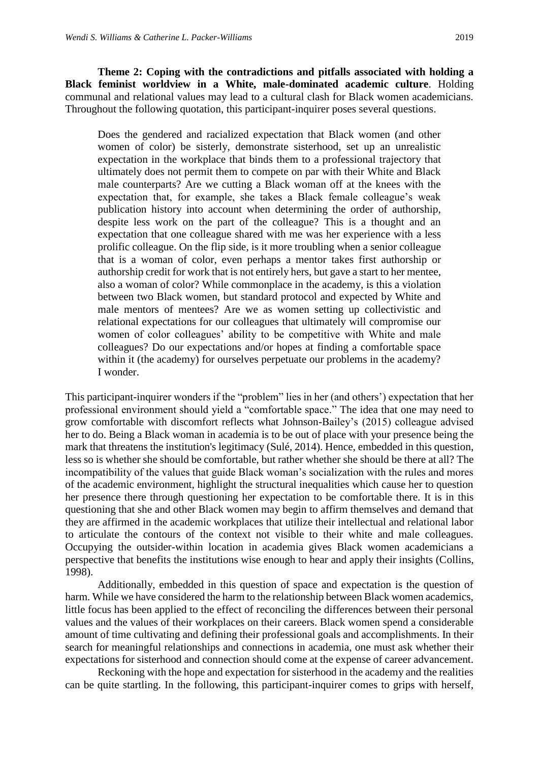**Theme 2: Coping with the contradictions and pitfalls associated with holding a Black feminist worldview in a White, male-dominated academic culture**. Holding communal and relational values may lead to a cultural clash for Black women academicians. Throughout the following quotation, this participant-inquirer poses several questions.

Does the gendered and racialized expectation that Black women (and other women of color) be sisterly, demonstrate sisterhood, set up an unrealistic expectation in the workplace that binds them to a professional trajectory that ultimately does not permit them to compete on par with their White and Black male counterparts? Are we cutting a Black woman off at the knees with the expectation that, for example, she takes a Black female colleague's weak publication history into account when determining the order of authorship, despite less work on the part of the colleague? This is a thought and an expectation that one colleague shared with me was her experience with a less prolific colleague. On the flip side, is it more troubling when a senior colleague that is a woman of color, even perhaps a mentor takes first authorship or authorship credit for work that is not entirely hers, but gave a start to her mentee, also a woman of color? While commonplace in the academy, is this a violation between two Black women, but standard protocol and expected by White and male mentors of mentees? Are we as women setting up collectivistic and relational expectations for our colleagues that ultimately will compromise our women of color colleagues' ability to be competitive with White and male colleagues? Do our expectations and/or hopes at finding a comfortable space within it (the academy) for ourselves perpetuate our problems in the academy? I wonder.

This participant-inquirer wonders if the "problem" lies in her (and others') expectation that her professional environment should yield a "comfortable space." The idea that one may need to grow comfortable with discomfort reflects what Johnson-Bailey's (2015) colleague advised her to do. Being a Black woman in academia is to be out of place with your presence being the mark that threatens the institution's legitimacy (Sulé, 2014). Hence, embedded in this question, less so is whether she should be comfortable, but rather whether she should be there at all? The incompatibility of the values that guide Black woman's socialization with the rules and mores of the academic environment, highlight the structural inequalities which cause her to question her presence there through questioning her expectation to be comfortable there. It is in this questioning that she and other Black women may begin to affirm themselves and demand that they are affirmed in the academic workplaces that utilize their intellectual and relational labor to articulate the contours of the context not visible to their white and male colleagues. Occupying the outsider-within location in academia gives Black women academicians a perspective that benefits the institutions wise enough to hear and apply their insights (Collins, 1998).

Additionally, embedded in this question of space and expectation is the question of harm. While we have considered the harm to the relationship between Black women academics, little focus has been applied to the effect of reconciling the differences between their personal values and the values of their workplaces on their careers. Black women spend a considerable amount of time cultivating and defining their professional goals and accomplishments. In their search for meaningful relationships and connections in academia, one must ask whether their expectations for sisterhood and connection should come at the expense of career advancement.

Reckoning with the hope and expectation for sisterhood in the academy and the realities can be quite startling. In the following, this participant-inquirer comes to grips with herself,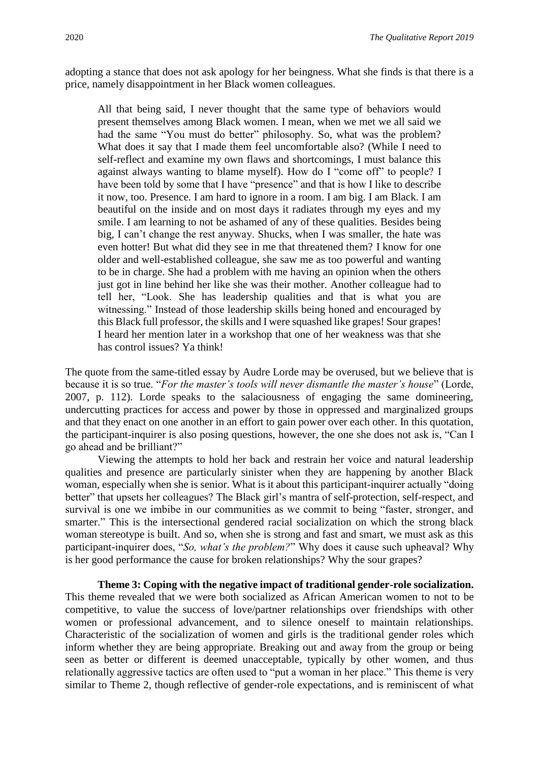adopting a stance that does not ask apology for her beingness. What she finds is that there is a price, namely disappointment in her Black women colleagues.

All that being said, I never thought that the same type of behaviors would present themselves among Black women. I mean, when we met we all said we had the same "You must do better" philosophy. So, what was the problem? What does it say that I made them feel uncomfortable also? (While I need to self-reflect and examine my own flaws and shortcomings, I must balance this against always wanting to blame myself). How do I "come off" to people? I have been told by some that I have "presence" and that is how I like to describe it now, too. Presence. I am hard to ignore in a room. I am big. I am Black. I am beautiful on the inside and on most days it radiates through my eyes and my smile. I am learning to not be ashamed of any of these qualities. Besides being big, I can't change the rest anyway. Shucks, when I was smaller, the hate was even hotter! But what did they see in me that threatened them? I know for one older and well-established colleague, she saw me as too powerful and wanting to be in charge. She had a problem with me having an opinion when the others just got in line behind her like she was their mother. Another colleague had to tell her, "Look. She has leadership qualities and that is what you are witnessing." Instead of those leadership skills being honed and encouraged by this Black full professor, the skills and I were squashed like grapes! Sour grapes! I heard her mention later in a workshop that one of her weakness was that she has control issues? Ya think!

The quote from the same-titled essay by Audre Lorde may be overused, but we believe that is because it is so true. "*For the master's tools will never dismantle the master's house*" (Lorde, 2007, p. 112). Lorde speaks to the salaciousness of engaging the same domineering, undercutting practices for access and power by those in oppressed and marginalized groups and that they enact on one another in an effort to gain power over each other. In this quotation, the participant-inquirer is also posing questions, however, the one she does not ask is, "Can I go ahead and be brilliant?"

Viewing the attempts to hold her back and restrain her voice and natural leadership qualities and presence are particularly sinister when they are happening by another Black woman, especially when she is senior. What is it about this participant-inquirer actually "doing better" that upsets her colleagues? The Black girl's mantra of self-protection, self-respect, and survival is one we imbibe in our communities as we commit to being "faster, stronger, and smarter." This is the intersectional gendered racial socialization on which the strong black woman stereotype is built. And so, when she is strong and fast and smart, we must ask as this participant-inquirer does, "*So, what's the problem?*" Why does it cause such upheaval? Why is her good performance the cause for broken relationships? Why the sour grapes?

**Theme 3: Coping with the negative impact of traditional gender-role socialization.** This theme revealed that we were both socialized as African American women to not to be competitive, to value the success of love/partner relationships over friendships with other women or professional advancement, and to silence oneself to maintain relationships. Characteristic of the socialization of women and girls is the traditional gender roles which inform whether they are being appropriate. Breaking out and away from the group or being seen as better or different is deemed unacceptable, typically by other women, and thus relationally aggressive tactics are often used to "put a woman in her place." This theme is very similar to Theme 2, though reflective of gender-role expectations, and is reminiscent of what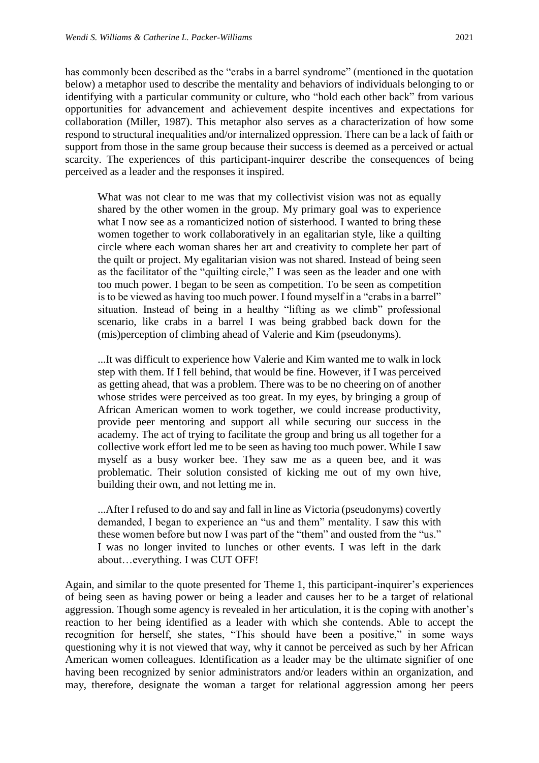has commonly been described as the "crabs in a barrel syndrome" (mentioned in the quotation below) a metaphor used to describe the mentality and behaviors of individuals belonging to or identifying with a particular community or culture, who "hold each other back" from various opportunities for advancement and achievement despite incentives and expectations for collaboration (Miller, 1987). This metaphor also serves as a characterization of how some respond to structural inequalities and/or internalized oppression. There can be a lack of faith or support from those in the same group because their success is deemed as a perceived or actual scarcity. The experiences of this participant-inquirer describe the consequences of being perceived as a leader and the responses it inspired.

What was not clear to me was that my collectivist vision was not as equally shared by the other women in the group. My primary goal was to experience what I now see as a romanticized notion of sisterhood. I wanted to bring these women together to work collaboratively in an egalitarian style, like a quilting circle where each woman shares her art and creativity to complete her part of the quilt or project. My egalitarian vision was not shared. Instead of being seen as the facilitator of the "quilting circle," I was seen as the leader and one with too much power. I began to be seen as competition. To be seen as competition is to be viewed as having too much power. I found myself in a "crabs in a barrel" situation. Instead of being in a healthy "lifting as we climb" professional scenario, like crabs in a barrel I was being grabbed back down for the (mis)perception of climbing ahead of Valerie and Kim (pseudonyms).

...It was difficult to experience how Valerie and Kim wanted me to walk in lock step with them. If I fell behind, that would be fine. However, if I was perceived as getting ahead, that was a problem. There was to be no cheering on of another whose strides were perceived as too great. In my eyes, by bringing a group of African American women to work together, we could increase productivity, provide peer mentoring and support all while securing our success in the academy. The act of trying to facilitate the group and bring us all together for a collective work effort led me to be seen as having too much power. While I saw myself as a busy worker bee. They saw me as a queen bee, and it was problematic. Their solution consisted of kicking me out of my own hive, building their own, and not letting me in.

...After I refused to do and say and fall in line as Victoria (pseudonyms) covertly demanded, I began to experience an "us and them" mentality. I saw this with these women before but now I was part of the "them" and ousted from the "us." I was no longer invited to lunches or other events. I was left in the dark about…everything. I was CUT OFF!

Again, and similar to the quote presented for Theme 1, this participant-inquirer's experiences of being seen as having power or being a leader and causes her to be a target of relational aggression. Though some agency is revealed in her articulation, it is the coping with another's reaction to her being identified as a leader with which she contends. Able to accept the recognition for herself, she states, "This should have been a positive," in some ways questioning why it is not viewed that way, why it cannot be perceived as such by her African American women colleagues. Identification as a leader may be the ultimate signifier of one having been recognized by senior administrators and/or leaders within an organization, and may, therefore, designate the woman a target for relational aggression among her peers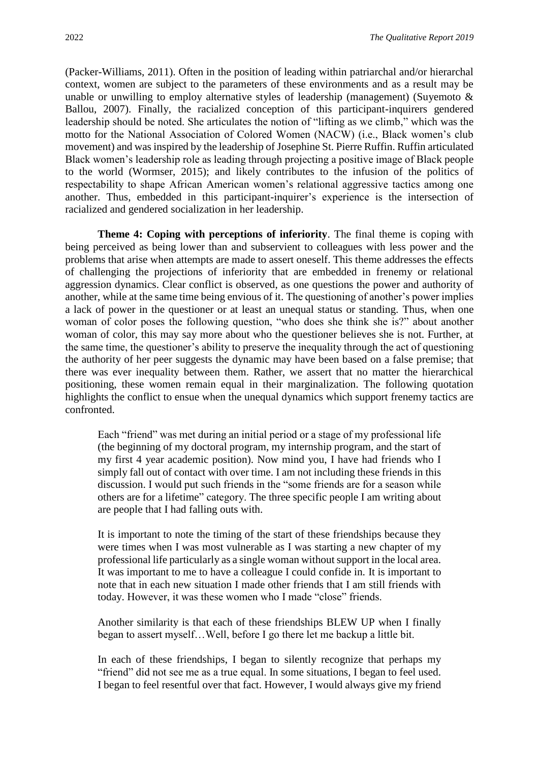(Packer-Williams, 2011). Often in the position of leading within patriarchal and/or hierarchal context, women are subject to the parameters of these environments and as a result may be unable or unwilling to employ alternative styles of leadership (management) (Suyemoto & Ballou, 2007). Finally, the racialized conception of this participant-inquirers gendered leadership should be noted. She articulates the notion of "lifting as we climb," which was the motto for the National Association of Colored Women (NACW) (i.e., Black women's club movement) and was inspired by the leadership of Josephine St. Pierre Ruffin. Ruffin articulated Black women's leadership role as leading through projecting a positive image of Black people to the world (Wormser, 2015); and likely contributes to the infusion of the politics of respectability to shape African American women's relational aggressive tactics among one another. Thus, embedded in this participant-inquirer's experience is the intersection of racialized and gendered socialization in her leadership.

**Theme 4: Coping with perceptions of inferiority**. The final theme is coping with being perceived as being lower than and subservient to colleagues with less power and the problems that arise when attempts are made to assert oneself. This theme addresses the effects of challenging the projections of inferiority that are embedded in frenemy or relational aggression dynamics. Clear conflict is observed, as one questions the power and authority of another, while at the same time being envious of it. The questioning of another's power implies a lack of power in the questioner or at least an unequal status or standing. Thus, when one woman of color poses the following question, "who does she think she is?" about another woman of color, this may say more about who the questioner believes she is not. Further, at the same time, the questioner's ability to preserve the inequality through the act of questioning the authority of her peer suggests the dynamic may have been based on a false premise; that there was ever inequality between them. Rather, we assert that no matter the hierarchical positioning, these women remain equal in their marginalization. The following quotation highlights the conflict to ensue when the unequal dynamics which support frenemy tactics are confronted.

Each "friend" was met during an initial period or a stage of my professional life (the beginning of my doctoral program, my internship program, and the start of my first 4 year academic position). Now mind you, I have had friends who I simply fall out of contact with over time. I am not including these friends in this discussion. I would put such friends in the "some friends are for a season while others are for a lifetime" category. The three specific people I am writing about are people that I had falling outs with.

It is important to note the timing of the start of these friendships because they were times when I was most vulnerable as I was starting a new chapter of my professional life particularly as a single woman without support in the local area. It was important to me to have a colleague I could confide in. It is important to note that in each new situation I made other friends that I am still friends with today. However, it was these women who I made "close" friends.

Another similarity is that each of these friendships BLEW UP when I finally began to assert myself…Well, before I go there let me backup a little bit.

In each of these friendships, I began to silently recognize that perhaps my "friend" did not see me as a true equal. In some situations, I began to feel used. I began to feel resentful over that fact. However, I would always give my friend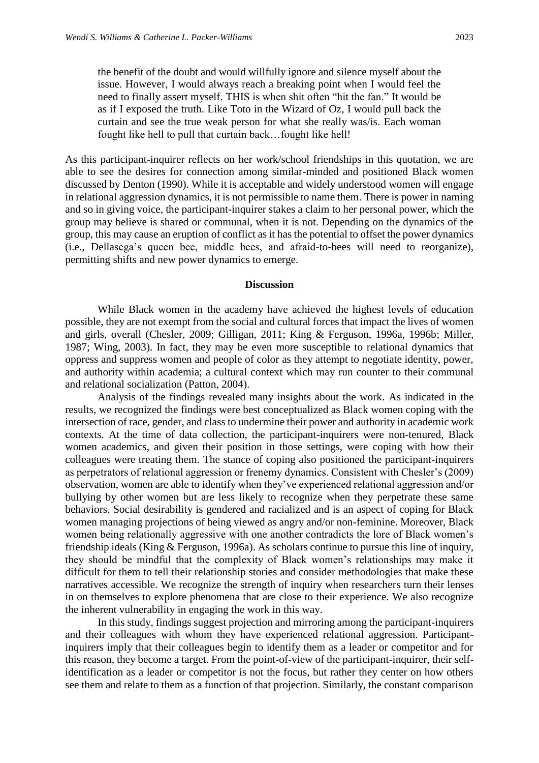the benefit of the doubt and would willfully ignore and silence myself about the issue. However, I would always reach a breaking point when I would feel the need to finally assert myself. THIS is when shit often "hit the fan." It would be as if I exposed the truth. Like Toto in the Wizard of Oz, I would pull back the curtain and see the true weak person for what she really was/is. Each woman fought like hell to pull that curtain back…fought like hell!

As this participant-inquirer reflects on her work/school friendships in this quotation, we are able to see the desires for connection among similar-minded and positioned Black women discussed by Denton (1990). While it is acceptable and widely understood women will engage in relational aggression dynamics, it is not permissible to name them. There is power in naming and so in giving voice, the participant-inquirer stakes a claim to her personal power, which the group may believe is shared or communal, when it is not. Depending on the dynamics of the group, this may cause an eruption of conflict as it has the potential to offset the power dynamics (i.e., Dellasega's queen bee, middle bees, and afraid-to-bees will need to reorganize), permitting shifts and new power dynamics to emerge.

#### **Discussion**

While Black women in the academy have achieved the highest levels of education possible, they are not exempt from the social and cultural forces that impact the lives of women and girls, overall (Chesler, 2009; Gilligan, 2011; King & Ferguson, 1996a, 1996b; Miller, 1987; Wing, 2003). In fact, they may be even more susceptible to relational dynamics that oppress and suppress women and people of color as they attempt to negotiate identity, power, and authority within academia; a cultural context which may run counter to their communal and relational socialization (Patton, 2004).

Analysis of the findings revealed many insights about the work. As indicated in the results, we recognized the findings were best conceptualized as Black women coping with the intersection of race, gender, and class to undermine their power and authority in academic work contexts. At the time of data collection, the participant-inquirers were non-tenured, Black women academics, and given their position in those settings, were coping with how their colleagues were treating them. The stance of coping also positioned the participant-inquirers as perpetrators of relational aggression or frenemy dynamics. Consistent with Chesler's (2009) observation, women are able to identify when they've experienced relational aggression and/or bullying by other women but are less likely to recognize when they perpetrate these same behaviors. Social desirability is gendered and racialized and is an aspect of coping for Black women managing projections of being viewed as angry and/or non-feminine. Moreover, Black women being relationally aggressive with one another contradicts the lore of Black women's friendship ideals (King & Ferguson, 1996a). As scholars continue to pursue this line of inquiry, they should be mindful that the complexity of Black women's relationships may make it difficult for them to tell their relationship stories and consider methodologies that make these narratives accessible. We recognize the strength of inquiry when researchers turn their lenses in on themselves to explore phenomena that are close to their experience. We also recognize the inherent vulnerability in engaging the work in this way.

In this study, findings suggest projection and mirroring among the participant-inquirers and their colleagues with whom they have experienced relational aggression. Participantinquirers imply that their colleagues begin to identify them as a leader or competitor and for this reason, they become a target. From the point-of-view of the participant-inquirer, their selfidentification as a leader or competitor is not the focus, but rather they center on how others see them and relate to them as a function of that projection. Similarly, the constant comparison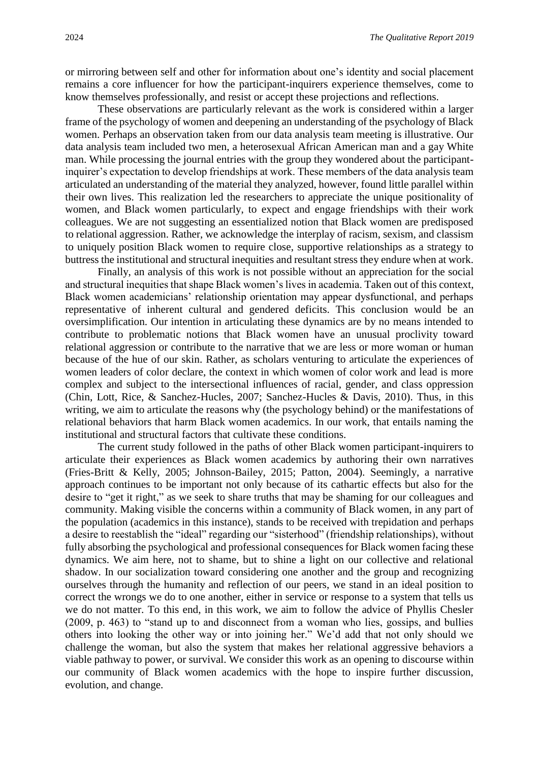or mirroring between self and other for information about one's identity and social placement remains a core influencer for how the participant-inquirers experience themselves, come to know themselves professionally, and resist or accept these projections and reflections.

These observations are particularly relevant as the work is considered within a larger frame of the psychology of women and deepening an understanding of the psychology of Black women. Perhaps an observation taken from our data analysis team meeting is illustrative. Our data analysis team included two men, a heterosexual African American man and a gay White man. While processing the journal entries with the group they wondered about the participantinquirer's expectation to develop friendships at work. These members of the data analysis team articulated an understanding of the material they analyzed, however, found little parallel within their own lives. This realization led the researchers to appreciate the unique positionality of women, and Black women particularly, to expect and engage friendships with their work colleagues. We are not suggesting an essentialized notion that Black women are predisposed to relational aggression. Rather, we acknowledge the interplay of racism, sexism, and classism to uniquely position Black women to require close, supportive relationships as a strategy to buttress the institutional and structural inequities and resultant stress they endure when at work.

Finally, an analysis of this work is not possible without an appreciation for the social and structural inequities that shape Black women's lives in academia. Taken out of this context, Black women academicians' relationship orientation may appear dysfunctional, and perhaps representative of inherent cultural and gendered deficits. This conclusion would be an oversimplification. Our intention in articulating these dynamics are by no means intended to contribute to problematic notions that Black women have an unusual proclivity toward relational aggression or contribute to the narrative that we are less or more woman or human because of the hue of our skin. Rather, as scholars venturing to articulate the experiences of women leaders of color declare, the context in which women of color work and lead is more complex and subject to the intersectional influences of racial, gender, and class oppression (Chin, Lott, Rice, & Sanchez-Hucles, 2007; Sanchez-Hucles & Davis, 2010). Thus, in this writing, we aim to articulate the reasons why (the psychology behind) or the manifestations of relational behaviors that harm Black women academics. In our work, that entails naming the institutional and structural factors that cultivate these conditions.

The current study followed in the paths of other Black women participant-inquirers to articulate their experiences as Black women academics by authoring their own narratives (Fries-Britt & Kelly, 2005; Johnson-Bailey, 2015; Patton, 2004). Seemingly, a narrative approach continues to be important not only because of its cathartic effects but also for the desire to "get it right," as we seek to share truths that may be shaming for our colleagues and community. Making visible the concerns within a community of Black women, in any part of the population (academics in this instance), stands to be received with trepidation and perhaps a desire to reestablish the "ideal" regarding our "sisterhood" (friendship relationships), without fully absorbing the psychological and professional consequences for Black women facing these dynamics. We aim here, not to shame, but to shine a light on our collective and relational shadow. In our socialization toward considering one another and the group and recognizing ourselves through the humanity and reflection of our peers, we stand in an ideal position to correct the wrongs we do to one another, either in service or response to a system that tells us we do not matter. To this end, in this work, we aim to follow the advice of Phyllis Chesler (2009, p. 463) to "stand up to and disconnect from a woman who lies, gossips, and bullies others into looking the other way or into joining her." We'd add that not only should we challenge the woman, but also the system that makes her relational aggressive behaviors a viable pathway to power, or survival. We consider this work as an opening to discourse within our community of Black women academics with the hope to inspire further discussion, evolution, and change.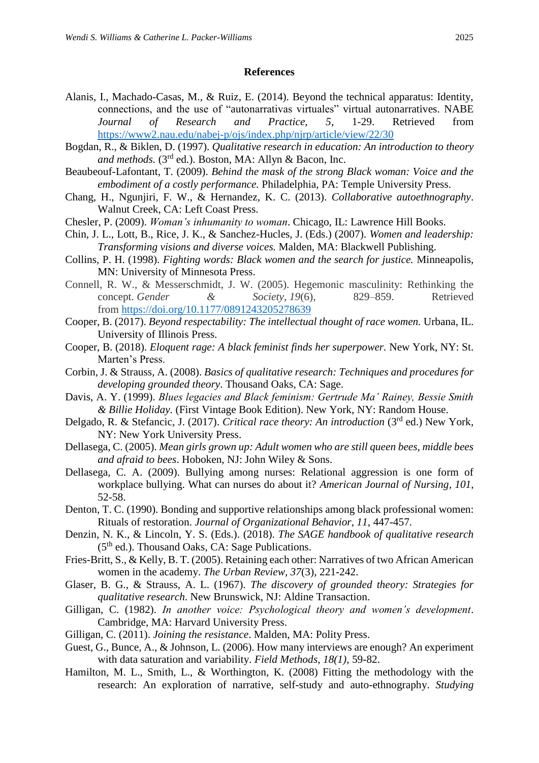### **References**

- Alanis, I., Machado-Casas, M., & Ruiz, E. (2014). Beyond the technical apparatus: Identity, connections, and the use of "autonarrativas virtuales" virtual autonarratives. NABE *Journal of Research and Practice, 5*, 1-29. Retrieved from <https://www2.nau.edu/nabej-p/ojs/index.php/njrp/article/view/22/30>
- Bogdan, R., & Biklen, D. (1997). *Qualitative research in education: An introduction to theory and methods.* (3rd ed.). Boston, MA: Allyn & Bacon, Inc.
- Beaubeouf-Lafontant, T. (2009). *Behind the mask of the strong Black woman: Voice and the embodiment of a costly performance.* Philadelphia, PA: Temple University Press.
- Chang, H., Ngunjiri, F. W., & Hernandez, K. C. (2013). *Collaborative autoethnography*. Walnut Creek, CA: Left Coast Press.
- Chesler, P. (2009). *Woman's inhumanity to woman*. Chicago, IL: Lawrence Hill Books.
- Chin, J. L., Lott, B., Rice, J. K., & Sanchez-Hucles, J. (Eds.) (2007). *Women and leadership: Transforming visions and diverse voices.* Malden, MA: Blackwell Publishing.
- Collins, P. H. (1998). *Fighting words: Black women and the search for justice.* Minneapolis, MN: University of Minnesota Press.
- Connell, R. W., & Messerschmidt, J. W. (2005). Hegemonic masculinity: Rethinking the concept. *Gender & Society*, *19*(6), 829–859. Retrieved from <https://doi.org/10.1177/0891243205278639>
- Cooper, B. (2017). *Beyond respectability: The intellectual thought of race women*. Urbana, IL. University of Illinois Press.
- Cooper, B. (2018). *Eloquent rage: A black feminist finds her superpower.* New York, NY: St. Marten's Press.
- Corbin, J. & Strauss, A. (2008). *Basics of qualitative research: Techniques and procedures for developing grounded theory*. Thousand Oaks, CA: Sage.
- Davis, A. Y. (1999). *Blues legacies and Black feminism: Gertrude Ma' Rainey, Bessie Smith & Billie Holiday.* (First Vintage Book Edition). New York, NY: Random House.
- Delgado, R. & Stefancic, J. (2017). *Critical race theory: An introduction* (3rd ed.) New York, NY: New York University Press.
- Dellasega, C. (2005). *Mean girls grown up: Adult women who are still queen bees, middle bees and afraid to bees*. Hoboken, NJ: John Wiley & Sons.
- Dellasega, C. A. (2009). Bullying among nurses: Relational aggression is one form of workplace bullying. What can nurses do about it? *American Journal of Nursing, 101*, 52-58.
- Denton, T. C. (1990). Bonding and supportive relationships among black professional women: Rituals of restoration. *Journal of Organizational Behavior, 11,* 447-457.
- Denzin, N. K., & Lincoln, Y. S. (Eds.). (2018). *The SAGE handbook of qualitative research*  $(5<sup>th</sup>$  ed.). Thousand Oaks, CA: Sage Publications.
- Fries-Britt, S., & Kelly, B. T. (2005). Retaining each other: Narratives of two African American women in the academy. *The Urban Review, 37*(3), 221-242.
- Glaser, B. G., & Strauss, A. L. (1967). *The discovery of grounded theory: Strategies for qualitative research*. New Brunswick, NJ: Aldine Transaction.
- Gilligan, C. (1982). *In another voice: Psychological theory and women's development*. Cambridge, MA: Harvard University Press.
- Gilligan, C. (2011). *Joining the resistance*. Malden, MA: Polity Press.
- Guest, G., Bunce, A., & Johnson, L. (2006). How many interviews are enough? An experiment with data saturation and variability. *Field Methods, 18(1),* 59-82.
- Hamilton, M. L., Smith, L., & Worthington, K. (2008) Fitting the methodology with the research: An exploration of narrative, self-study and auto-ethnography. *Studying*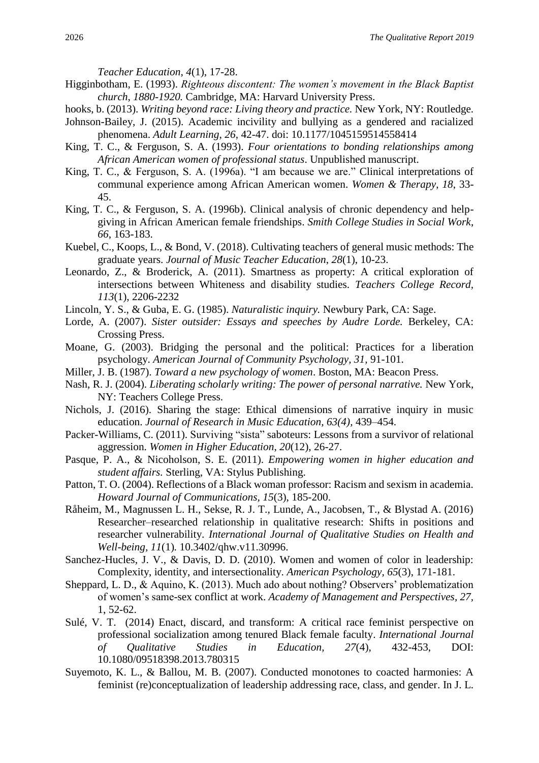*Teacher Education*, *4*(1), 17-28.

- Higginbotham, E. (1993). *Righteous discontent: The women's movement in the Black Baptist church*, *1880-1920.* Cambridge, MA: Harvard University Press.
- hooks, b. (2013). *Writing beyond race: Living theory and practice.* New York, NY: Routledge.
- Johnson-Bailey, J. (2015). Academic incivility and bullying as a gendered and racialized phenomena. *Adult Learning*, *26*, 42-47. doi: 10.1177/1045159514558414
- King, T. C., & Ferguson, S. A. (1993). *Four orientations to bonding relationships among African American women of professional status*. Unpublished manuscript.
- King, T. C., & Ferguson, S. A. (1996a). "I am because we are." Clinical interpretations of communal experience among African American women. *Women & Therapy*, *18*, 33- 45.
- King, T. C., & Ferguson, S. A. (1996b). Clinical analysis of chronic dependency and helpgiving in African American female friendships. *Smith College Studies in Social Work*, *66*, 163-183.
- Kuebel, C., Koops, L., & Bond, V. (2018). Cultivating teachers of general music methods: The graduate years. *Journal of Music Teacher Education*, *28*(1), 10-23.
- Leonardo, Z., & Broderick, A. (2011). Smartness as property: A critical exploration of intersections between Whiteness and disability studies. *Teachers College Record, 113*(1), 2206-2232
- Lincoln, Y. S., & Guba, E. G. (1985). *Naturalistic inquiry.* Newbury Park, CA: Sage.
- Lorde, A. (2007). *Sister outsider: Essays and speeches by Audre Lorde.* Berkeley, CA: Crossing Press.
- Moane, G. (2003). Bridging the personal and the political: Practices for a liberation psychology. *American Journal of Community Psychology, 31,* 91-101.
- Miller, J. B. (1987). *Toward a new psychology of women*. Boston, MA: Beacon Press.
- Nash, R. J. (2004). *Liberating scholarly writing: The power of personal narrative.* New York, NY: Teachers College Press.
- Nichols, J. (2016). Sharing the stage: Ethical dimensions of narrative inquiry in music education. *Journal of Research in Music Education, 63(4),* 439–454.
- Packer-Williams, C. (2011). Surviving "sista" saboteurs: Lessons from a survivor of relational aggression. *Women in Higher Education*, *20*(12), 26-27.
- Pasque, P. A., & Nicoholson, S. E. (2011). *Empowering women in higher education and student affairs.* Sterling, VA: Stylus Publishing.
- Patton, T. O. (2004). Reflections of a Black woman professor: Racism and sexism in academia. *Howard Journal of Communications, 15*(3), 185-200.
- Råheim, M., Magnussen L. H., Sekse, R. J. T., Lunde, A., Jacobsen, T., & Blystad A. (2016) Researcher–researched relationship in qualitative research: Shifts in positions and researcher vulnerability. *International Journal of Qualitative Studies on Health and Well-being, 11*(1)*.* 10.3402/qhw.v11.30996.
- Sanchez-Hucles, J. V., & Davis, D. D. (2010). Women and women of color in leadership: Complexity, identity, and intersectionality. *American Psychology, 65*(3), 171-181.
- Sheppard, L. D., & Aquino, K. (2013). Much ado about nothing? Observers' problematization of women's same-sex conflict at work. *Academy of Management and Perspectives, 27,* 1, 52-62.
- Sulé, V. T. (2014) Enact, discard, and transform: A critical race feminist perspective on professional socialization among tenured Black female faculty. *International Journal of Qualitative Studies in Education, 27*(4), 432-453, DOI: 10.1080/09518398.2013.780315
- Suyemoto, K. L., & Ballou, M. B. (2007). Conducted monotones to coacted harmonies: A feminist (re)conceptualization of leadership addressing race, class, and gender. In J. L.